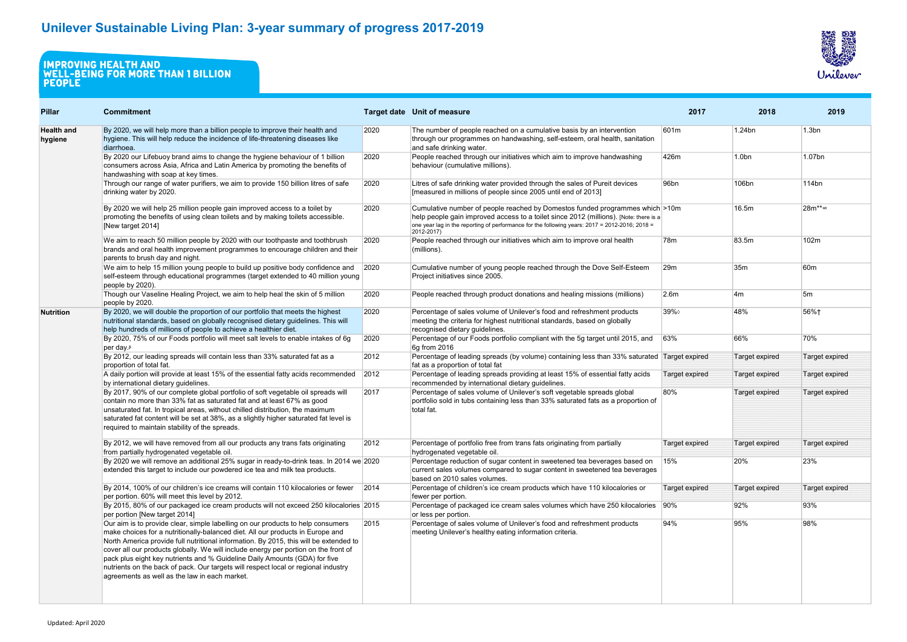| <b>Pillar</b>                | <b>Commitment</b>                                                                                                                                                                                                                                                                                                                                                                                                                                                                                                                                                      |      | <b>Target date Unit of measure</b>                                                                                                                                                                                                                                                    | 2017                  | 2018              | 2019                  |
|------------------------------|------------------------------------------------------------------------------------------------------------------------------------------------------------------------------------------------------------------------------------------------------------------------------------------------------------------------------------------------------------------------------------------------------------------------------------------------------------------------------------------------------------------------------------------------------------------------|------|---------------------------------------------------------------------------------------------------------------------------------------------------------------------------------------------------------------------------------------------------------------------------------------|-----------------------|-------------------|-----------------------|
| <b>Health and</b><br>hygiene | By 2020, we will help more than a billion people to improve their health and<br>hygiene. This will help reduce the incidence of life-threatening diseases like<br>diarrhoea.                                                                                                                                                                                                                                                                                                                                                                                           | 2020 | The number of people reached on a cumulative basis by an intervention<br>through our programmes on handwashing, self-esteem, oral health, sanitation<br>and safe drinking water.                                                                                                      | 601m                  | 1.24bn            | 1.3 <sub>bn</sub>     |
|                              | By 2020 our Lifebuoy brand aims to change the hygiene behaviour of 1 billion<br>consumers across Asia, Africa and Latin America by promoting the benefits of<br>handwashing with soap at key times.                                                                                                                                                                                                                                                                                                                                                                    | 2020 | People reached through our initiatives which aim to improve handwashing<br>behaviour (cumulative millions).                                                                                                                                                                           | 426m                  | 1.0 <sub>bn</sub> | 1.07bn                |
|                              | Through our range of water purifiers, we aim to provide 150 billion litres of safe<br>drinking water by 2020.                                                                                                                                                                                                                                                                                                                                                                                                                                                          | 2020 | Litres of safe drinking water provided through the sales of Pureit devices<br>[measured in millions of people since 2005 until end of 2013]                                                                                                                                           | 96 <sub>bn</sub>      | 106bn             | 114bn                 |
|                              | By 2020 we will help 25 million people gain improved access to a toilet by<br>promoting the benefits of using clean toilets and by making toilets accessible.<br>[New target 2014]                                                                                                                                                                                                                                                                                                                                                                                     | 2020 | Cumulative number of people reached by Domestos funded programmes which >10m<br>help people gain improved access to a toilet since 2012 (millions). [Note: there is a<br>one year lag in the reporting of performance for the following years: 2017 = 2012-2016; 2018 =<br>2012-2017) |                       | 16.5m             | 28m <sup>**</sup> ∞   |
|                              | We aim to reach 50 million people by 2020 with our toothpaste and toothbrush<br>brands and oral health improvement programmes to encourage children and their<br>parents to brush day and night.                                                                                                                                                                                                                                                                                                                                                                       | 2020 | People reached through our initiatives which aim to improve oral health<br>(millions).                                                                                                                                                                                                | 78m                   | 83.5m             | 102m                  |
|                              | We aim to help 15 million young people to build up positive body confidence and<br>self-esteem through educational programmes (target extended to 40 million young<br>people by 2020).                                                                                                                                                                                                                                                                                                                                                                                 | 2020 | Cumulative number of young people reached through the Dove Self-Esteem<br>Project initiatives since 2005.                                                                                                                                                                             | 29m                   | 35m               | 60 <sub>m</sub>       |
|                              | Though our Vaseline Healing Project, we aim to help heal the skin of 5 million<br>people by 2020.                                                                                                                                                                                                                                                                                                                                                                                                                                                                      | 2020 | People reached through product donations and healing missions (millions)                                                                                                                                                                                                              | 2.6 <sub>m</sub>      | 4m                | 5m                    |
| Nutrition                    | By 2020, we will double the proportion of our portfolio that meets the highest<br>nutritional standards, based on globally recognised dietary guidelines. This will<br>help hundreds of millions of people to achieve a healthier diet.                                                                                                                                                                                                                                                                                                                                | 2020 | Percentage of sales volume of Unilever's food and refreshment products<br>meeting the criteria for highest nutritional standards, based on globally<br>recognised dietary guidelines.                                                                                                 | 39%                   | 48%               | 56%+                  |
|                              | By 2020, 75% of our Foods portfolio will meet salt levels to enable intakes of 6g<br>per day. <sup>s</sup>                                                                                                                                                                                                                                                                                                                                                                                                                                                             | 2020 | Percentage of our Foods portfolio compliant with the 5g target until 2015, and<br>6g from 2016                                                                                                                                                                                        | 63%                   | 66%               | 70%                   |
|                              | By 2012, our leading spreads will contain less than 33% saturated fat as a<br>proportion of total fat.                                                                                                                                                                                                                                                                                                                                                                                                                                                                 | 2012 | Percentage of leading spreads (by volume) containing less than 33% saturated Target expired<br>fat as a proportion of total fat                                                                                                                                                       |                       | Target expired    | <b>Target expired</b> |
|                              | A daily portion will provide at least 15% of the essential fatty acids recommended<br>by international dietary guidelines.                                                                                                                                                                                                                                                                                                                                                                                                                                             | 2012 | Percentage of leading spreads providing at least 15% of essential fatty acids<br>recommended by international dietary guidelines.                                                                                                                                                     | <b>Target expired</b> | Target expired    | <b>Target expired</b> |
|                              | By 2017, 90% of our complete global portfolio of soft vegetable oil spreads will<br>contain no more than 33% fat as saturated fat and at least 67% as good<br>unsaturated fat. In tropical areas, without chilled distribution, the maximum<br>saturated fat content will be set at 38%, as a slightly higher saturated fat level is<br>required to maintain stability of the spreads.                                                                                                                                                                                 | 2017 | Percentage of sales volume of Unilever's soft vegetable spreads global<br>portfolio sold in tubs containing less than 33% saturated fats as a proportion of<br>total fat.                                                                                                             | 80%                   | Target expired    | <b>Target expired</b> |
|                              | By 2012, we will have removed from all our products any trans fats originating<br>from partially hydrogenated vegetable oil.                                                                                                                                                                                                                                                                                                                                                                                                                                           | 2012 | Percentage of portfolio free from trans fats originating from partially<br>hydrogenated vegetable oil.                                                                                                                                                                                | <b>Target expired</b> | Target expired    | Target expired        |
|                              | By 2020 we will remove an additional 25% sugar in ready-to-drink teas. In 2014 we 2020<br>extended this target to include our powdered ice tea and milk tea products.                                                                                                                                                                                                                                                                                                                                                                                                  |      | Percentage reduction of sugar content in sweetened tea beverages based on<br>current sales volumes compared to sugar content in sweetened tea beverages<br>based on 2010 sales volumes.                                                                                               | 15%                   | 20%               | 23%                   |
|                              | By 2014, 100% of our children's ice creams will contain 110 kilocalories or fewer<br>per portion. 60% will meet this level by 2012.                                                                                                                                                                                                                                                                                                                                                                                                                                    | 2014 | Percentage of children's ice cream products which have 110 kilocalories or<br>fewer per portion.                                                                                                                                                                                      | Target expired        | Target expired    | Target expired        |
|                              | By 2015, 80% of our packaged ice cream products will not exceed 250 kilocalories 2015<br>per portion [New target 2014]                                                                                                                                                                                                                                                                                                                                                                                                                                                 |      | Percentage of packaged ice cream sales volumes which have 250 kilocalories 90%<br>or less per portion.                                                                                                                                                                                |                       | 92%               | 93%                   |
|                              | Our aim is to provide clear, simple labelling on our products to help consumers<br>make choices for a nutritionally-balanced diet. All our products in Europe and<br>North America provide full nutritional information. By 2015, this will be extended to<br>cover all our products globally. We will include energy per portion on the front of<br>pack plus eight key nutrients and % Guideline Daily Amounts (GDA) for five<br>nutrients on the back of pack. Our targets will respect local or regional industry<br>agreements as well as the law in each market. | 2015 | Percentage of sales volume of Unilever's food and refreshment products<br>meeting Unilever's healthy eating information criteria.                                                                                                                                                     | 94%                   | 95%               | 98%                   |

## WELL-BEING FOR MORE THAN 1 BILLION

people

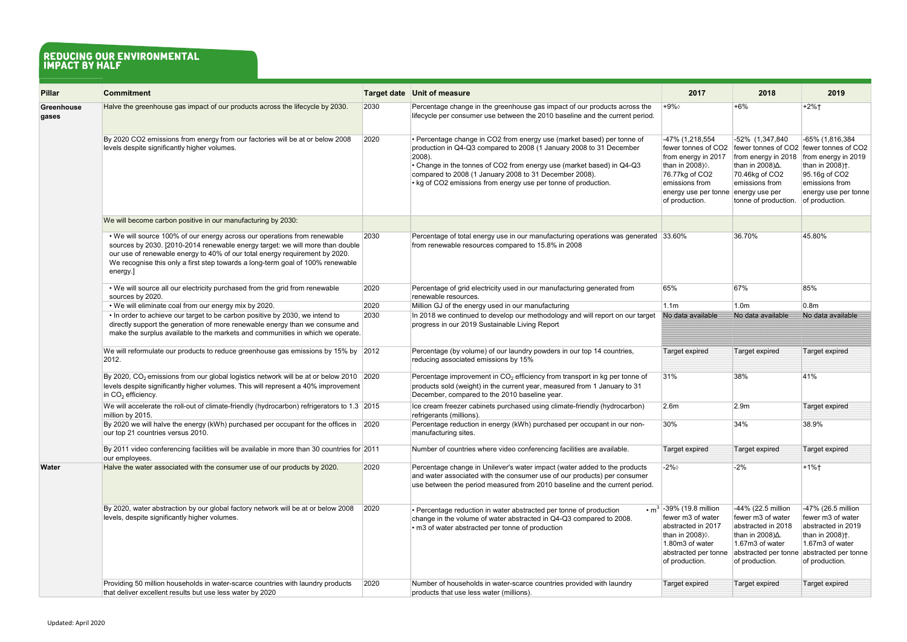| <b>Pillar</b>              | <b>Commitment</b>                                                                                                                                                                                                                                                                                                                      |      | <b>Target date Unit of measure</b>                                                                                                                                                                                                                                                                                                                               | 2017                                                                                                                                                          | 2018                                                                                                                                                     | 2019                                                                                                                                                                                           |
|----------------------------|----------------------------------------------------------------------------------------------------------------------------------------------------------------------------------------------------------------------------------------------------------------------------------------------------------------------------------------|------|------------------------------------------------------------------------------------------------------------------------------------------------------------------------------------------------------------------------------------------------------------------------------------------------------------------------------------------------------------------|---------------------------------------------------------------------------------------------------------------------------------------------------------------|----------------------------------------------------------------------------------------------------------------------------------------------------------|------------------------------------------------------------------------------------------------------------------------------------------------------------------------------------------------|
| <b>Greenhouse</b><br>gases | Halve the greenhouse gas impact of our products across the lifecycle by 2030.                                                                                                                                                                                                                                                          | 2030 | Percentage change in the greenhouse gas impact of our products across the<br>lifecycle per consumer use between the 2010 baseline and the current period.                                                                                                                                                                                                        | +9%◊                                                                                                                                                          | +6%                                                                                                                                                      | $+2%$ †                                                                                                                                                                                        |
|                            | By 2020 CO2 emissions from energy from our factories will be at or below 2008<br>levels despite significantly higher volumes.                                                                                                                                                                                                          | 2020 | • Percentage change in CO2 from energy use (market based) per tonne of<br>production in Q4-Q3 compared to 2008 (1 January 2008 to 31 December<br>$ 2008$ ).<br>• Change in the tonnes of CO2 from energy use (market based) in Q4-Q3<br>compared to 2008 (1 January 2008 to 31 December 2008).<br>• kg of CO2 emissions from energy use per tonne of production. | -47% (1,218,554<br>fewer tonnes of CO2<br>from energy in 2017<br>than in 2008).<br>76.77kg of CO2<br>emissions from<br>energy use per tonne<br>of production. | -52% (1,347,840<br>from energy in 2018<br>than in 2008)∆.<br>70.46kg of CO2<br>emissions from<br>energy use per<br>tonne of production.                  | -65% (1,816,384<br>fewer tonnes of CO2 fewer tonnes of CO2<br>from energy in 2019<br>than in 2008) <sup>†</sup> .<br>95.16g of CO2<br>emissions from<br>energy use per tonne<br>of production. |
|                            | We will become carbon positive in our manufacturing by 2030:                                                                                                                                                                                                                                                                           |      |                                                                                                                                                                                                                                                                                                                                                                  |                                                                                                                                                               |                                                                                                                                                          |                                                                                                                                                                                                |
|                            | • We will source 100% of our energy across our operations from renewable<br>sources by 2030. [2010-2014 renewable energy target: we will more than double<br>our use of renewable energy to 40% of our total energy requirement by 2020.<br>We recognise this only a first step towards a long-term goal of 100% renewable<br>energy.] | 2030 | Percentage of total energy use in our manufacturing operations was generated 33.60%<br>from renewable resources compared to 15.8% in 2008                                                                                                                                                                                                                        |                                                                                                                                                               | 36.70%                                                                                                                                                   | 45.80%                                                                                                                                                                                         |
|                            | . We will source all our electricity purchased from the grid from renewable<br>sources by 2020.                                                                                                                                                                                                                                        | 2020 | Percentage of grid electricity used in our manufacturing generated from<br>renewable resources.                                                                                                                                                                                                                                                                  | 65%                                                                                                                                                           | 67%                                                                                                                                                      | 85%                                                                                                                                                                                            |
|                            | • We will eliminate coal from our energy mix by 2020.                                                                                                                                                                                                                                                                                  | 2020 | Million GJ of the energy used in our manufacturing                                                                                                                                                                                                                                                                                                               | 1.1 <sub>m</sub>                                                                                                                                              | 1.0 <sub>m</sub>                                                                                                                                         | 0.8 <sub>m</sub>                                                                                                                                                                               |
|                            | • In order to achieve our target to be carbon positive by 2030, we intend to<br>directly support the generation of more renewable energy than we consume and<br>make the surplus available to the markets and communities in which we operate.                                                                                         | 2030 | In 2018 we continued to develop our methodology and will report on our target<br>progress in our 2019 Sustainable Living Report                                                                                                                                                                                                                                  | No data available                                                                                                                                             | No data available                                                                                                                                        | No data available                                                                                                                                                                              |
|                            | We will reformulate our products to reduce greenhouse gas emissions by 15% by 2012<br>2012.                                                                                                                                                                                                                                            |      | Percentage (by volume) of our laundry powders in our top 14 countries,<br>reducing associated emissions by 15%                                                                                                                                                                                                                                                   | <b>Target expired</b>                                                                                                                                         | Target expired                                                                                                                                           | <b>Target expired</b>                                                                                                                                                                          |
|                            | By 2020, CO <sub>2</sub> emissions from our global logistics network will be at or below 2010 2020<br>levels despite significantly higher volumes. This will represent a 40% improvement<br>in $CO2$ efficiency.                                                                                                                       |      | Percentage improvement in $CO2$ efficiency from transport in kg per tonne of<br>products sold (weight) in the current year, measured from 1 January to 31<br>December, compared to the 2010 baseline year.                                                                                                                                                       | 31%                                                                                                                                                           | 38%                                                                                                                                                      | 41%                                                                                                                                                                                            |
|                            | We will accelerate the roll-out of climate-friendly (hydrocarbon) refrigerators to 1.3 2015<br>million by 2015.                                                                                                                                                                                                                        |      | Ice cream freezer cabinets purchased using climate-friendly (hydrocarbon)<br>refrigerants (millions).                                                                                                                                                                                                                                                            | 2.6 <sub>m</sub>                                                                                                                                              | 2.9m                                                                                                                                                     | <b>Target expired</b>                                                                                                                                                                          |
|                            | By 2020 we will halve the energy (kWh) purchased per occupant for the offices in 2020<br>our top 21 countries versus 2010.                                                                                                                                                                                                             |      | Percentage reduction in energy (kWh) purchased per occupant in our non-<br>manufacturing sites.                                                                                                                                                                                                                                                                  | $ 30\%$                                                                                                                                                       | 34%                                                                                                                                                      | 38.9%                                                                                                                                                                                          |
|                            | By 2011 video conferencing facilities will be available in more than 30 countries for 2011<br>our employees.                                                                                                                                                                                                                           |      | Number of countries where video conferencing facilities are available.                                                                                                                                                                                                                                                                                           | Target expired                                                                                                                                                | Target expired                                                                                                                                           | <b>Target expired</b>                                                                                                                                                                          |
| <b>Water</b>               | Halve the water associated with the consumer use of our products by 2020.                                                                                                                                                                                                                                                              | 2020 | Percentage change in Unilever's water impact (water added to the products<br>and water associated with the consumer use of our products) per consumer<br>use between the period measured from 2010 baseline and the current period.                                                                                                                              | $-2\%$                                                                                                                                                        | $-2%$                                                                                                                                                    | $+1%$                                                                                                                                                                                          |
|                            | By 2020, water abstraction by our global factory network will be at or below 2008<br>levels, despite significantly higher volumes.                                                                                                                                                                                                     | 2020 | • Percentage reduction in water abstracted per tonne of production<br>change in the volume of water abstracted in Q4-Q3 compared to 2008.<br>• m3 of water abstracted per tonne of production                                                                                                                                                                    | • $m^3$ -39% (19.8 million<br>fewer m3 of water<br>abstracted in 2017<br>than in 2008) .<br>1.80m3 of water<br>abstracted per tonne<br>of production.         | -44% (22.5 million<br>fewer m3 of water<br>abstracted in 2018<br>than in 2008) $\Delta$ .<br>$1.67m3$ of water<br>abstracted per tonne<br>of production. | -47% (26.5 million<br>fewer m3 of water<br>abstracted in 2019<br>than in 2008) <sup>†</sup> .<br>1.67m3 of water<br>abstracted per tonne<br>of production.                                     |
|                            | Providing 50 million households in water-scarce countries with laundry products<br>that deliver excellent results but use less water by 2020                                                                                                                                                                                           | 2020 | Number of households in water-scarce countries provided with laundry<br>products that use less water (millions).                                                                                                                                                                                                                                                 | <b>Target expired</b>                                                                                                                                         | Target expired                                                                                                                                           | <b>Target expired</b>                                                                                                                                                                          |

## reducing our environmental impact by half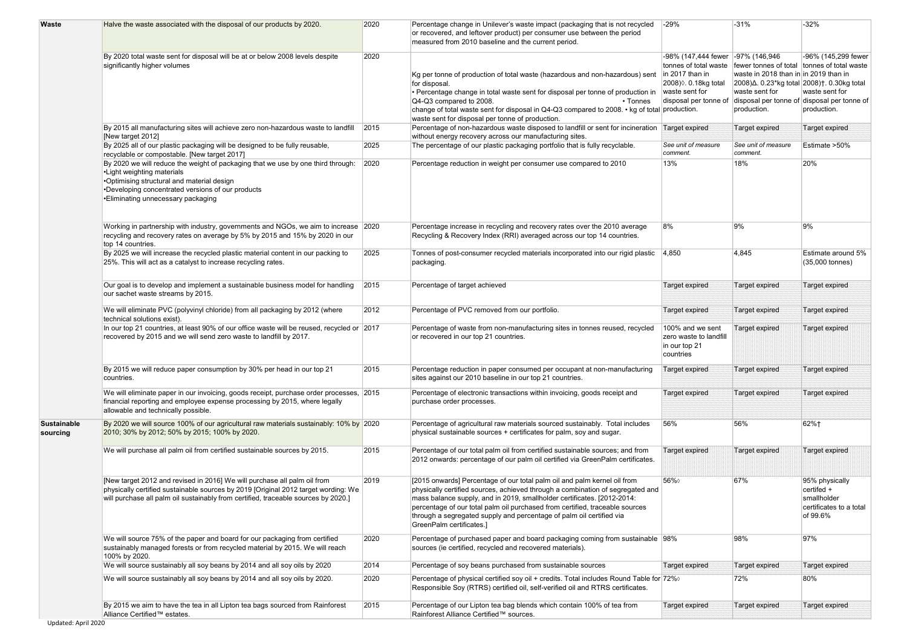| <b>Waste</b>                   | Halve the waste associated with the disposal of our products by 2020.                                                                                                                                                                                   | 2020 | Percentage change in Unilever's waste impact (packaging that is not recycled<br>or recovered, and leftover product) per consumer use between the period<br>measured from 2010 baseline and the current period.                                                                                                                                                                                                            | $-29%$                                                                                                                              | $-31%$                                                                                                                                                              | $-32%$                                                                                              |
|--------------------------------|---------------------------------------------------------------------------------------------------------------------------------------------------------------------------------------------------------------------------------------------------------|------|---------------------------------------------------------------------------------------------------------------------------------------------------------------------------------------------------------------------------------------------------------------------------------------------------------------------------------------------------------------------------------------------------------------------------|-------------------------------------------------------------------------------------------------------------------------------------|---------------------------------------------------------------------------------------------------------------------------------------------------------------------|-----------------------------------------------------------------------------------------------------|
|                                | By 2020 total waste sent for disposal will be at or below 2008 levels despite<br>significantly higher volumes                                                                                                                                           | 2020 | Kg per tonne of production of total waste (hazardous and non-hazardous) sent<br>for disposal.<br>• Percentage change in total waste sent for disposal per tonne of production in waste sent for<br>$\sqrt{Q4-Q3}$ compared to 2008.<br>$\cdot$ Tonnes<br>change of total waste sent for disposal in Q4-Q3 compared to 2008. • kg of total production.<br>waste sent for disposal per tonne of production.                 | -98% (147,444 fewer  -97% (146,946)<br>tonnes of total waste<br>$\ln 2017$ than in<br>2008) ♦ 0.18kg total<br>disposal per tonne of | fewer tonnes of total tonnes of total waste<br>waste in 2018 than in in 2019 than in<br>2008)∆. 0.23*kg total 2008)†. 0.30kg total<br>waste sent for<br>production. | -96% (145,299 fewer<br>waste sent for<br>disposal per tonne of disposal per tonne of<br>production. |
|                                | By 2015 all manufacturing sites will achieve zero non-hazardous waste to landfill                                                                                                                                                                       | 2015 | Percentage of non-hazardous waste disposed to landfill or sent for incineration Target expired                                                                                                                                                                                                                                                                                                                            |                                                                                                                                     | Target expired                                                                                                                                                      | Target expired                                                                                      |
|                                | [New target 2012]<br>By 2025 all of our plastic packaging will be designed to be fully reusable,<br>recyclable or compostable. [New target 2017]                                                                                                        | 2025 | without energy recovery across our manufacturing sites.<br>The percentage of our plastic packaging portfolio that is fully recyclable.                                                                                                                                                                                                                                                                                    | See unit of measure<br>comment.                                                                                                     | See unit of measure<br>comment.                                                                                                                                     | Estimate >50%                                                                                       |
|                                | By 2020 we will reduce the weight of packaging that we use by one third through:<br>•Light weighting materials<br>•Optimising structural and material design<br>•Developing concentrated versions of our products<br>•Eliminating unnecessary packaging | 2020 | Percentage reduction in weight per consumer use compared to 2010                                                                                                                                                                                                                                                                                                                                                          | 13%                                                                                                                                 | 18%                                                                                                                                                                 | 20%                                                                                                 |
|                                | Working in partnership with industry, governments and NGOs, we aim to increase 2020<br>recycling and recovery rates on average by 5% by 2015 and 15% by 2020 in our<br>top 14 countries.                                                                |      | Percentage increase in recycling and recovery rates over the 2010 average<br>Recycling & Recovery Index (RRI) averaged across our top 14 countries.                                                                                                                                                                                                                                                                       | 8%                                                                                                                                  | 9%                                                                                                                                                                  | 9%                                                                                                  |
|                                | By 2025 we will increase the recycled plastic material content in our packing to<br>25%. This will act as a catalyst to increase recycling rates.                                                                                                       | 2025 | Tonnes of post-consumer recycled materials incorporated into our rigid plastic<br>packaging.                                                                                                                                                                                                                                                                                                                              | 4,850                                                                                                                               | 4,845                                                                                                                                                               | Estimate around 5%<br>(35,000 tonnes)                                                               |
|                                | Our goal is to develop and implement a sustainable business model for handling<br>our sachet waste streams by 2015.                                                                                                                                     | 2015 | Percentage of target achieved                                                                                                                                                                                                                                                                                                                                                                                             | <b>Target expired</b>                                                                                                               | <b>Target expired</b>                                                                                                                                               | <b>Target expired</b>                                                                               |
|                                | We will eliminate PVC (polyvinyl chloride) from all packaging by 2012 (where<br>technical solutions exist).                                                                                                                                             | 2012 | Percentage of PVC removed from our portfolio.                                                                                                                                                                                                                                                                                                                                                                             | Target expired                                                                                                                      | <b>Target expired</b>                                                                                                                                               | <b>Target expired</b>                                                                               |
|                                | In our top 21 countries, at least 90% of our office waste will be reused, recycled or 2017<br>recovered by 2015 and we will send zero waste to landfill by 2017.                                                                                        |      | Percentage of waste from non-manufacturing sites in tonnes reused, recycled<br>or recovered in our top 21 countries.                                                                                                                                                                                                                                                                                                      | 100% and we sent<br>zero waste to landfill<br>in our top 21<br>countries                                                            | Target expired                                                                                                                                                      | <b>Target expired</b>                                                                               |
|                                | By 2015 we will reduce paper consumption by 30% per head in our top 21<br>countries.                                                                                                                                                                    | 2015 | Percentage reduction in paper consumed per occupant at non-manufacturing<br>sites against our 2010 baseline in our top 21 countries.                                                                                                                                                                                                                                                                                      | <b>Target expired</b>                                                                                                               | <b>Target expired</b>                                                                                                                                               | <b>Target expired</b>                                                                               |
|                                | We will eliminate paper in our invoicing, goods receipt, purchase order processes, 2015<br>financial reporting and employee expense processing by 2015, where legally<br>allowable and technically possible.                                            |      | Percentage of electronic transactions within invoicing, goods receipt and<br>purchase order processes.                                                                                                                                                                                                                                                                                                                    | Target expired                                                                                                                      | <b>Target expired</b>                                                                                                                                               | Target expired                                                                                      |
| <b>Sustainable</b><br>sourcing | By 2020 we will source 100% of our agricultural raw materials sustainably: 10% by 2020<br>2010; 30% by 2012; 50% by 2015; 100% by 2020.                                                                                                                 |      | Percentage of agricultural raw materials sourced sustainably. Total includes<br>physical sustainable sources + certificates for palm, soy and sugar.                                                                                                                                                                                                                                                                      | 56%                                                                                                                                 | 56%                                                                                                                                                                 | 62%+                                                                                                |
|                                | We will purchase all palm oil from certified sustainable sources by 2015.                                                                                                                                                                               | 2015 | Percentage of our total palm oil from certified sustainable sources; and from<br>2012 onwards: percentage of our palm oil certified via GreenPalm certificates.                                                                                                                                                                                                                                                           | Target expired                                                                                                                      | <b>Target expired</b>                                                                                                                                               | <b>Target expired</b>                                                                               |
|                                | [New target 2012 and revised in 2016] We will purchase all palm oil from<br>physically certified sustainable sources by 2019 [Original 2012 target wording: We<br>will purchase all palm oil sustainably from certified, traceable sources by 2020.]    | 2019 | [2015 onwards] Percentage of our total palm oil and palm kernel oil from<br>physically certified sources, achieved through a combination of segregated and<br>mass balance supply, and in 2019, smallholder certificates. [2012-2014:<br>percentage of our total palm oil purchased from certified, traceable sources<br>through a segregated supply and percentage of palm oil certified via<br>GreenPalm certificates.] | 56%                                                                                                                                 | 67%                                                                                                                                                                 | 95% physically<br>certifed +<br>smallholder<br>certificates to a total<br>of 99.6%                  |
|                                | We will source 75% of the paper and board for our packaging from certified<br>sustainably managed forests or from recycled material by 2015. We will reach<br>100% by 2020.                                                                             | 2020 | Percentage of purchased paper and board packaging coming from sustainable 98%<br>sources (ie certified, recycled and recovered materials).                                                                                                                                                                                                                                                                                |                                                                                                                                     | 98%                                                                                                                                                                 | 97%                                                                                                 |
|                                | We will source sustainably all soy beans by 2014 and all soy oils by 2020                                                                                                                                                                               | 2014 | Percentage of soy beans purchased from sustainable sources                                                                                                                                                                                                                                                                                                                                                                | Target expired                                                                                                                      | <b>Target expired</b>                                                                                                                                               | <b>Target expired</b>                                                                               |
|                                | We will source sustainably all soy beans by 2014 and all soy oils by 2020.                                                                                                                                                                              | 2020 | Percentage of physical certified soy oil + credits. Total includes Round Table for 72% of<br>Responsible Soy (RTRS) certified oil, self-verified oil and RTRS certificates.                                                                                                                                                                                                                                               |                                                                                                                                     | 72%                                                                                                                                                                 | 80%                                                                                                 |
|                                | By 2015 we aim to have the tea in all Lipton tea bags sourced from Rainforest<br>Alliance Certified™ estates.                                                                                                                                           | 2015 | Percentage of our Lipton tea bag blends which contain 100% of tea from<br>Rainforest Alliance Certified™ sources.                                                                                                                                                                                                                                                                                                         | Target expired                                                                                                                      | <b>Target expired</b>                                                                                                                                               | <b>Target expired</b>                                                                               |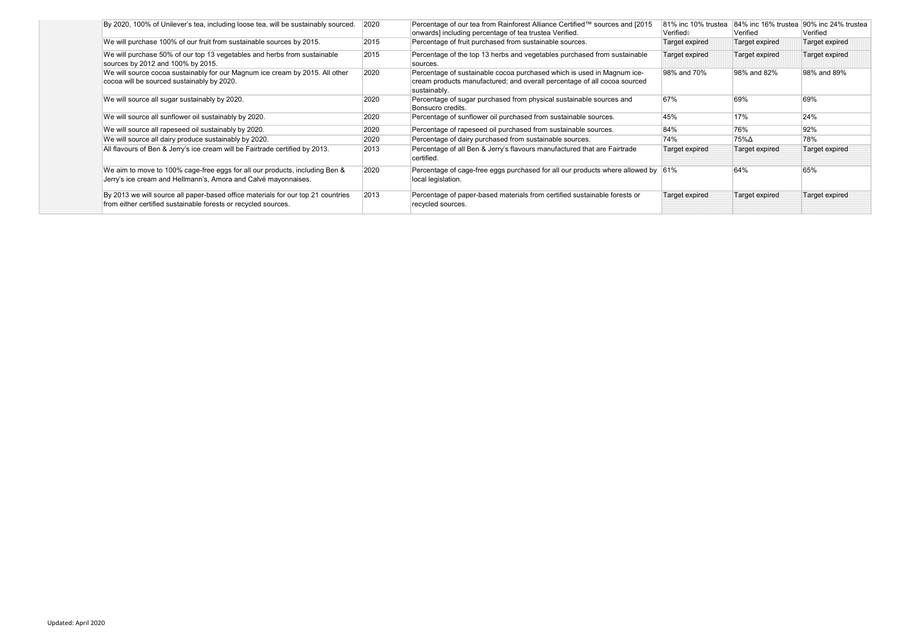| By 2020, 100% of Unilever's tea, including loose tea, will be sustainably sourced.                                                                 | 2020 | Percentage of our tea from Rainforest Alliance Certified™ sources and [2015<br>onwards] including percentage of tea trustea Verified.                              | 81% inc 10% trustea<br>Verified◊ | Verified              | 84% inc 16% trustea 90% inc 24% trustea<br>Verified |
|----------------------------------------------------------------------------------------------------------------------------------------------------|------|--------------------------------------------------------------------------------------------------------------------------------------------------------------------|----------------------------------|-----------------------|-----------------------------------------------------|
| We will purchase 100% of our fruit from sustainable sources by 2015.                                                                               | 2015 | Percentage of fruit purchased from sustainable sources.                                                                                                            | <b>Target expired</b>            | Target expired        | Target expired                                      |
| We will purchase 50% of our top 13 vegetables and herbs from sustainable<br>sources by 2012 and 100% by 2015.                                      | 2015 | Percentage of the top 13 herbs and vegetables purchased from sustainable<br>sources.                                                                               | Target expired                   | Target expired        | Target expired                                      |
| We will source cocoa sustainably for our Magnum ice cream by 2015. All other<br>cocoa will be sourced sustainably by 2020.                         | 2020 | Percentage of sustainable cocoa purchased which is used in Magnum ice-<br>cream products manufactured; and overall percentage of all cocoa sourced<br>sustainably. | 98% and 70%                      | 98% and 82%           | 98% and 89%                                         |
| We will source all sugar sustainably by 2020.                                                                                                      | 2020 | Percentage of sugar purchased from physical sustainable sources and<br>Bonsucro credits.                                                                           | 67%                              | 69%                   | 69%                                                 |
| We will source all sunflower oil sustainably by 2020.                                                                                              | 2020 | Percentage of sunflower oil purchased from sustainable sources.                                                                                                    | 45%                              | 17%                   | 24%                                                 |
| We will source all rapeseed oil sustainably by 2020.                                                                                               | 2020 | Percentage of rapeseed oil purchased from sustainable sources.                                                                                                     | 84%                              | 76%                   | 92%                                                 |
| We will source all dairy produce sustainably by 2020.                                                                                              | 2020 | Percentage of dairy purchased from sustainable sources.                                                                                                            | 74%                              | 75%∆                  | 78%                                                 |
| All flavours of Ben & Jerry's ice cream will be Fairtrade certified by 2013.                                                                       | 2013 | Percentage of all Ben & Jerry's flavours manufactured that are Fairtrade<br>certified.                                                                             | Target expired                   | <b>Target expired</b> | Target expired                                      |
| We aim to move to 100% cage-free eggs for all our products, including Ben &<br>Jerry's ice cream and Hellmann's, Amora and Calvé mayonnaises.      | 2020 | Percentage of cage-free eggs purchased for all our products where allowed by 61%<br>local legislation.                                                             |                                  | 64%                   | 65%                                                 |
| By 2013 we will source all paper-based office materials for our top 21 countries<br>from either certified sustainable forests or recycled sources. | 2013 | Percentage of paper-based materials from certified sustainable forests or<br>recycled sources.                                                                     | <b>Target expired</b>            | Target expired        | Target expired                                      |